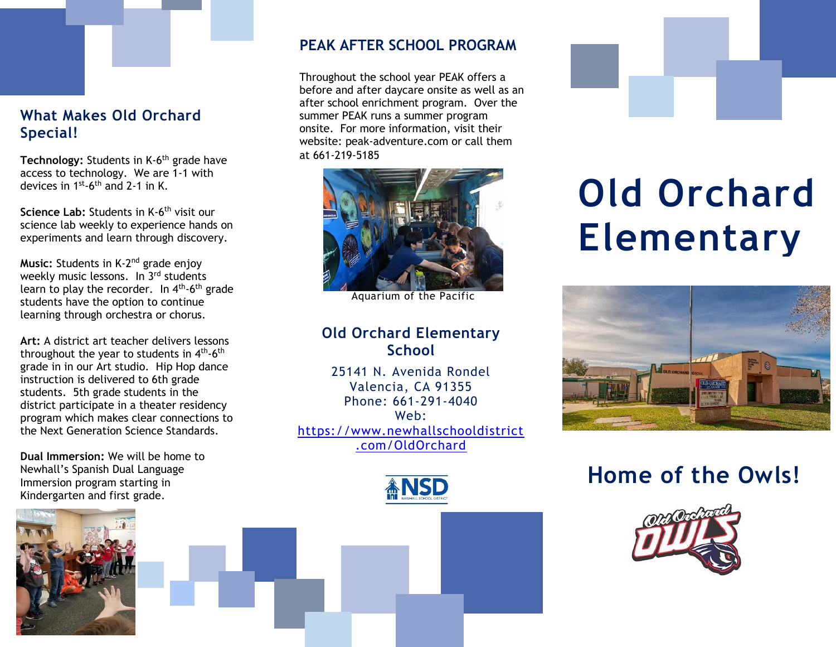## **What Makes Old Orchard Special!**

Technology: Students in K-6<sup>th</sup> grade have access to technology. We are 1-1 with devices in  $1^{\text{st}}$ -6<sup>th</sup> and 2-1 in K.

**Science Lab:** Students in K-6<sup>th</sup> visit our science lab weekly to experience hands on experiments and learn through discovery.

**Music:** Students in K-2<sup>nd</sup> grade enjoy weekly music lessons. In 3<sup>rd</sup> students learn to play the recorder. In 4<sup>th</sup>-6<sup>th</sup> grade students have the option to continue learning through orchestra or chorus.

**Art:** A district art teacher delivers lessons throughout the year to students in  $4^{\text{th}}$ -6<sup>th</sup> grade in in our Art studio. Hip Hop dance instruction is delivered to 6th grade students. 5th grade students in the district participate in a theater residency program which makes clear connections to the Next Generation Science Standards.

**Dual Immersion:** We will be home to Newhall's Spanish Dual Language Immersion program starting in Kindergarten and first grade.



### **PEAK AFTER SCHOOL PROGRAM**

Throughout the school year PEAK offers a before and after daycare onsite as well as an after school enrichment program. Over the summer PEAK runs a summer program onsite. For more information, visit their website: peak-adventure.com or call them at 661-219-5185



Aquarium of the Pacific

## **Old Orchard Elementary School**

25141 N. Avenida Rondel Valencia, CA 91355 Phone: 661-291-4040 Web: [https://www.newhallschooldistrict](https://www.newhallschooldistrict.com/OldOrchard) [.com/OldOrchard](https://www.newhallschooldistrict.com/OldOrchard)







# **Old Orchard Elementary**



# **Home of the Owls!**